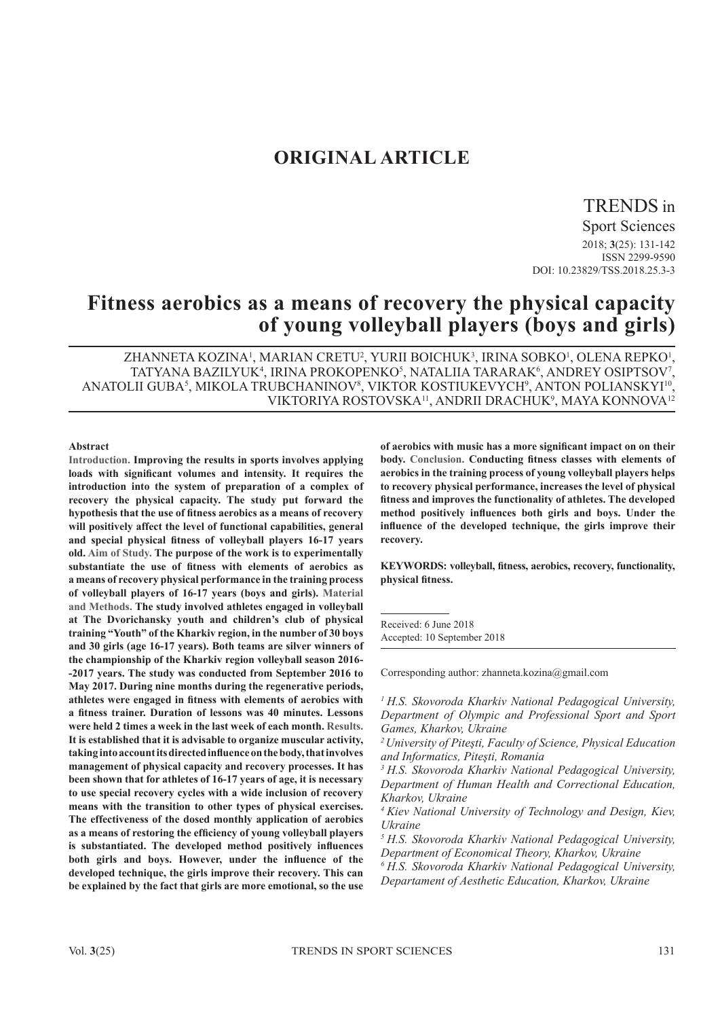# **ORIGINAL ARTICLE**

# TRENDS in

Sport Sciences 2018; **3**(25): 131-142 ISSN 2299-9590 DOI: 10.23829/TSS.2018.25.3-3

# **Fitness aerobics as a means of recovery the physical capacity of young volleyball players (boys and girls)**

ZHANNETA KOZINA<sup>1</sup>, MARIAN CRETU<sup>2</sup>, YURII BOICHUK<sup>3</sup>, IRINA SOBKO<sup>1</sup>, OLENA REPKO<sup>1</sup>, TATYANA BAZILYUK<sup>4</sup>, IRINA PROKOPENKO<sup>5</sup>, NATALIIA TARARAK<sup>6</sup>, ANDREY OSIPTSOV<sup>7</sup> '<br>, ANATOLII GUBA<sup>5</sup>, MIKOLA TRUBCHANINOV<sup>8</sup>, VIKTOR KOSTIUKEVYCH<sup>9</sup>, ANTON POLIANSKYI<sup>10</sup>, VIKTORIYA ROSTOVSKA<sup>11</sup>, ANDRII DRACHUK<sup>9</sup>, MAYA KONNOVA<sup>12</sup>

#### **Abstract**

**Introduction. Improving the results in sports involves applying loads with significant volumes and intensity. It requires the introduction into the system of preparation of a complex of recovery the physical capacity. The study put forward the hypothesis that the use of fitness aerobics as a means of recovery will positively affect the level of functional capabilities, general and special physical fitness of volleyball players 16-17 years old. Aim of Study. The purpose of the work is to experimentally substantiate the use of fitness with elements of aerobics as a means of recovery physical performance in the training process of volleyball players of 16-17 years (boys and girls). Material and Methods. The study involved athletes engaged in volleyball at The Dvorichansky youth and children's club of physical training "Youth" of the Kharkiv region, in the number of 30 boys and 30 girls (age 16-17 years). Both teams are silver winners of the championship of the Kharkiv region volleyball season 2016- -2017 years. The study was conducted from September 2016 to May 2017. During nine months during the regenerative periods, athletes were engaged in fitness with elements of aerobics with a fitness trainer. Duration of lessons was 40 minutes. Lessons were held 2 times a week in the last week of each month. Results. It is established that it is advisable to organize muscular activity, taking into account its directed influence on the body, that involves management of physical capacity and recovery processes. It has been shown that for athletes of 16-17 years of age, it is necessary to use special recovery cycles with a wide inclusion of recovery means with the transition to other types of physical exercises. The effectiveness of the dosed monthly application of aerobics as a means of restoring the efficiency of young volleyball players is substantiated. The developed method positively influences both girls and boys. However, under the influence of the developed technique, the girls improve their recovery. This can be explained by the fact that girls are more emotional, so the use**  **of aerobics with music has a more significant impact on on their body. Conclusion. Conducting fitness classes with elements of aerobics in the training process of young volleyball players helps to recovery physical performance, increases the level of physical fitness and improves the functionality of athletes. The developed method positively influences both girls and boys. Under the influence of the developed technique, the girls improve their recovery.** 

**KEYWORDS: volleyball, fitness, aerobics, recovery, functionality, physical fitness.**

Received: 6 June 2018 Accepted: 10 September 2018

Corresponding author: zhanneta.kozina@gmail.com

*<sup>1</sup> H.S. Skovoroda Kharkiv National Pedagogical University, Department of Olympic and Professional Sport and Sport Games, Kharkov, Ukraine*

*<sup>2</sup>University of Piteşti, Faculty of Science, Physical Education and Informatics, Piteşti, Romania*

*3 H.S. Skovoroda Kharkiv National Pedagogical University, Department of Human Health and Correctional Education, Kharkov, Ukraine*

*4 Kiev National University of Technology and Design, Kiev, Ukraine*

*5 H.S. Skovoroda Kharkiv National Pedagogical University, Department of Economical Theory, Kharkov, Ukraine*

*6 H.S. Skovoroda Kharkiv National Pedagogical University, Departament of Aesthetic Education, Kharkov, Ukraine*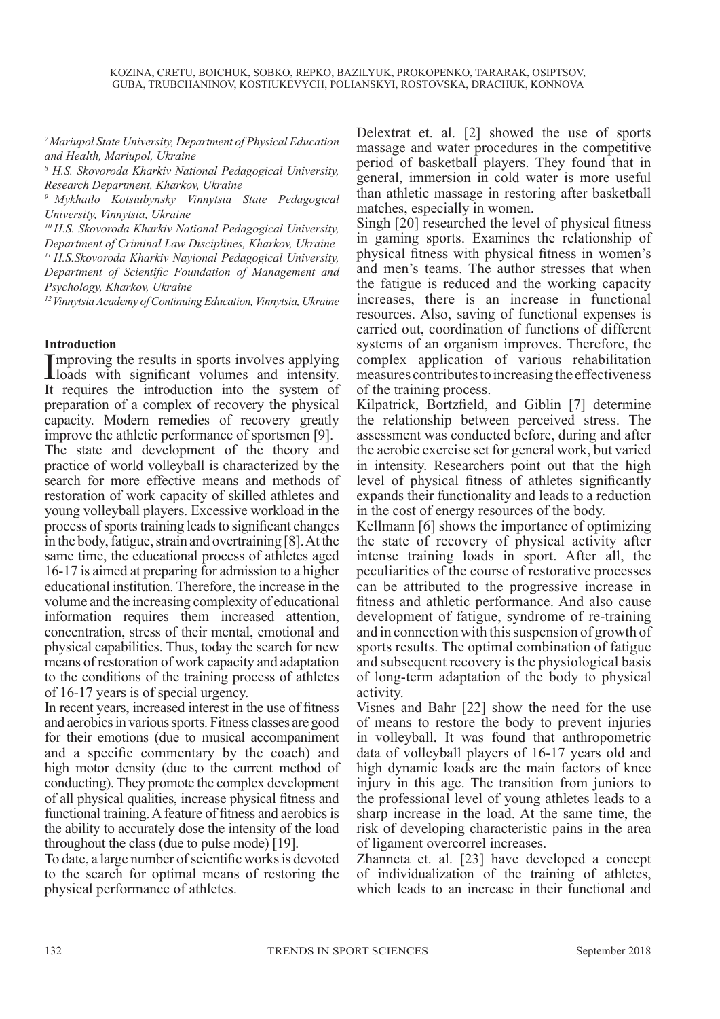*<sup>7</sup>Mariupol State University, Department of Physical Education and Health, Mariupol, Ukraine*

*<sup>8</sup> H.S. Skovoroda Kharkiv National Pedagogical University, Research Department, Kharkov, Ukraine*

*<sup>9</sup>Mykhailo Kotsiubynsky Vinnytsia State Pedagogical University, Vinnytsia, Ukraine*

*10 H.S. Skovoroda Kharkiv National Pedagogical University, Department of Criminal Law Disciplines, Kharkov, Ukraine 11 H.S.Skovoroda Kharkiv Nayional Pedagogical University, Department of Scientific Foundation of Management and Psychology, Kharkov, Ukraine* 

*<sup>12</sup>Vinnytsia Academy of Continuing Education, Vinnytsia, Ukraine*

## **Introduction**

Improving the results in sports involves applying<br>loads with significant volumes and intensity. loads with significant volumes and intensity. It requires the introduction into the system of preparation of a complex of recovery the physical capacity. Modern remedies of recovery greatly improve the athletic performance of sportsmen [9]. The state and development of the theory and practice of world volleyball is characterized by the search for more effective means and methods of restoration of work capacity of skilled athletes and young volleyball players. Excessive workload in the process of sports training leads to significant changes in the body, fatigue, strain and overtraining [8]. At the same time, the educational process of athletes aged 16-17 is aimed at preparing for admission to a higher educational institution. Therefore, the increase in the volume and the increasing complexity of educational information requires them increased attention, concentration, stress of their mental, emotional and physical capabilities. Thus, today the search for new means of restoration of work capacity and adaptation to the conditions of the training process of athletes of 16-17 years is of special urgency.

In recent years, increased interest in the use of fitness and aerobics in various sports. Fitness classes are good for their emotions (due to musical accompaniment and a specific commentary by the coach) and high motor density (due to the current method of conducting). They promote the complex development of all physical qualities, increase physical fitness and functional training. A feature of fitness and aerobics is the ability to accurately dose the intensity of the load throughout the class (due to pulse mode) [19].

To date, a large number of scientific works is devoted to the search for optimal means of restoring the physical performance of athletes.

Delextrat et. al. [2] showed the use of sports massage and water procedures in the competitive period of basketball players. They found that in general, immersion in cold water is more useful than athletic massage in restoring after basketball matches, especially in women.

Singh [20] researched the level of physical fitness in gaming sports. Examines the relationship of physical fitness with physical fitness in women's and men's teams. The author stresses that when the fatigue is reduced and the working capacity increases, there is an increase in functional resources. Also, saving of functional expenses is carried out, coordination of functions of different systems of an organism improves. Therefore, the complex application of various rehabilitation measures contributes to increasing the effectiveness of the training process.

Kilpatrick, Bortzfield, and Giblin [7] determine the relationship between perceived stress. The assessment was conducted before, during and after the aerobic exercise set for general work, but varied in intensity. Researchers point out that the high level of physical fitness of athletes significantly expands their functionality and leads to a reduction in the cost of energy resources of the body.

Kellmann [6] shows the importance of optimizing the state of recovery of physical activity after intense training loads in sport. After all, the peculiarities of the course of restorative processes can be attributed to the progressive increase in fitness and athletic performance. And also cause development of fatigue, syndrome of re-training and in connection with this suspension of growth of sports results. The optimal combination of fatigue and subsequent recovery is the physiological basis of long-term adaptation of the body to physical activity.

Visnes and Bahr [22] show the need for the use of means to restore the body to prevent injuries in volleyball. It was found that anthropometric data of volleyball players of 16-17 years old and high dynamic loads are the main factors of knee injury in this age. The transition from juniors to the professional level of young athletes leads to a sharp increase in the load. At the same time, the risk of developing characteristic pains in the area of ligament overcorrel increases.

Zhanneta et. al. [23] have developed a concept of individualization of the training of athletes, which leads to an increase in their functional and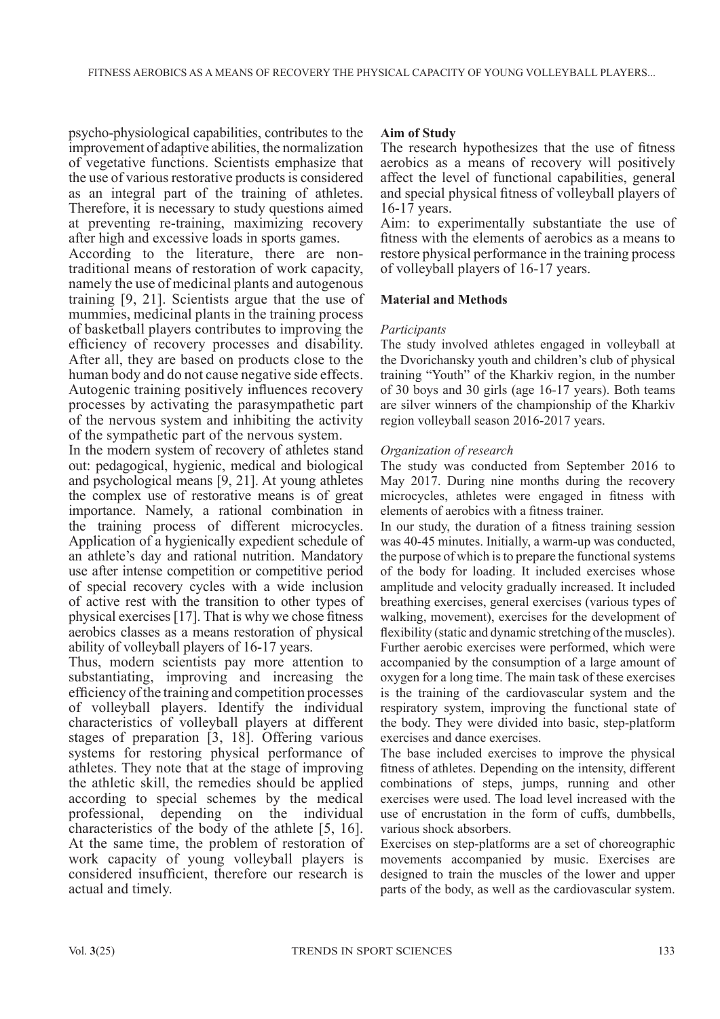psycho-physiological capabilities, contributes to the improvement of adaptive abilities, the normalization of vegetative functions. Scientists emphasize that the use of various restorative products is considered as an integral part of the training of athletes. Therefore, it is necessary to study questions aimed at preventing re-training, maximizing recovery after high and excessive loads in sports games.

According to the literature, there are nontraditional means of restoration of work capacity, namely the use of medicinal plants and autogenous training [9, 21]. Scientists argue that the use of mummies, medicinal plants in the training process of basketball players contributes to improving the efficiency of recovery processes and disability. After all, they are based on products close to the human body and do not cause negative side effects. Autogenic training positively influences recovery processes by activating the parasympathetic part of the nervous system and inhibiting the activity of the sympathetic part of the nervous system.

In the modern system of recovery of athletes stand out: pedagogical, hygienic, medical and biological and psychological means [9, 21]. At young athletes the complex use of restorative means is of great importance. Namely, a rational combination in the training process of different microcycles. Application of a hygienically expedient schedule of an athlete's day and rational nutrition. Mandatory use after intense competition or competitive period of special recovery cycles with a wide inclusion of active rest with the transition to other types of physical exercises [17]. That is why we chose fitness aerobics classes as a means restoration of physical ability of volleyball players of 16-17 years.

Thus, modern scientists pay more attention to substantiating, improving and increasing the efficiency of the training and competition processes of volleyball players. Identify the individual characteristics of volleyball players at different stages of preparation [3, 18]. Offering various systems for restoring physical performance of athletes. They note that at the stage of improving the athletic skill, the remedies should be applied according to special schemes by the medical professional, depending on the individual characteristics of the body of the athlete [5, 16]. At the same time, the problem of restoration of work capacity of young volleyball players is considered insufficient, therefore our research is actual and timely.

# **Aim of Study**

The research hypothesizes that the use of fitness aerobics as a means of recovery will positively affect the level of functional capabilities, general and special physical fitness of volleyball players of 16-17 years.

Aim: to experimentally substantiate the use of fitness with the elements of aerobics as a means to restore physical performance in the training process of volleyball players of 16-17 years.

## **Material and Methods**

#### *Participants*

The study involved athletes engaged in volleyball at the Dvorichansky youth and children's club of physical training "Youth" of the Kharkiv region, in the number of 30 boys and 30 girls (age 16-17 years). Both teams are silver winners of the championship of the Kharkiv region volleyball season 2016-2017 years.

## *Organization of research*

The study was conducted from September 2016 to May 2017. During nine months during the recovery microcycles, athletes were engaged in fitness with elements of aerobics with a fitness trainer.

In our study, the duration of a fitness training session was 40-45 minutes. Initially, a warm-up was conducted, the purpose of which is to prepare the functional systems of the body for loading. It included exercises whose amplitude and velocity gradually increased. It included breathing exercises, general exercises (various types of walking, movement), exercises for the development of flexibility (static and dynamic stretching of the muscles). Further aerobic exercises were performed, which were accompanied by the consumption of a large amount of oxygen for a long time. The main task of these exercises is the training of the cardiovascular system and the respiratory system, improving the functional state of the body. They were divided into basic, step-platform exercises and dance exercises.

The base included exercises to improve the physical fitness of athletes. Depending on the intensity, different combinations of steps, jumps, running and other exercises were used. The load level increased with the use of encrustation in the form of cuffs, dumbbells, various shock absorbers.

Exercises on step-platforms are a set of choreographic movements accompanied by music. Exercises are designed to train the muscles of the lower and upper parts of the body, as well as the cardiovascular system.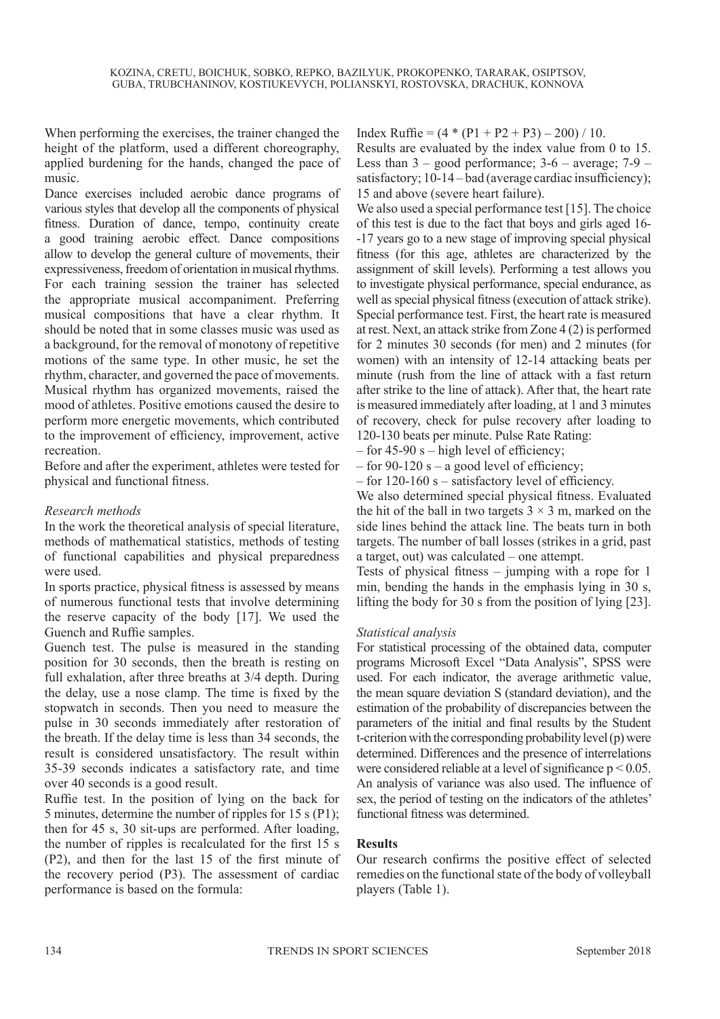When performing the exercises, the trainer changed the height of the platform, used a different choreography, applied burdening for the hands, changed the pace of music.

Dance exercises included aerobic dance programs of various styles that develop all the components of physical fitness. Duration of dance, tempo, continuity create a good training aerobic effect. Dance compositions allow to develop the general culture of movements, their expressiveness, freedom of orientation in musical rhythms. For each training session the trainer has selected the appropriate musical accompaniment. Preferring musical compositions that have a clear rhythm. It should be noted that in some classes music was used as a background, for the removal of monotony of repetitive motions of the same type. In other music, he set the rhythm, character, and governed the pace of movements. Musical rhythm has organized movements, raised the mood of athletes. Positive emotions caused the desire to perform more energetic movements, which contributed to the improvement of efficiency, improvement, active recreation.

Before and after the experiment, athletes were tested for physical and functional fitness.

# *Research methods*

In the work the theoretical analysis of special literature, methods of mathematical statistics, methods of testing of functional capabilities and physical preparedness were used.

In sports practice, physical fitness is assessed by means of numerous functional tests that involve determining the reserve capacity of the body [17]. We used the Guench and Ruffie samples.

Guench test. The pulse is measured in the standing position for 30 seconds, then the breath is resting on full exhalation, after three breaths at 3/4 depth. During the delay, use a nose clamp. The time is fixed by the stopwatch in seconds. Then you need to measure the pulse in 30 seconds immediately after restoration of the breath. If the delay time is less than 34 seconds, the result is considered unsatisfactory. The result within 35-39 seconds indicates a satisfactory rate, and time over 40 seconds is a good result.

Ruffie test. In the position of lying on the back for 5 minutes, determine the number of ripples for 15 s (P1); then for 45 s, 30 sit-ups are performed. After loading, the number of ripples is recalculated for the first 15 s (P2), and then for the last 15 of the first minute of the recovery period (P3). The assessment of cardiac performance is based on the formula:

Index Ruffie =  $(4 * (P1 + P2 + P3) - 200) / 10$ . Results are evaluated by the index value from 0 to 15. Less than  $3 - good performance$ ;  $3 - 6 - average$ ;  $7 - 9$ satisfactory; 10-14 – bad (average cardiac insufficiency); 15 and above (severe heart failure).

We also used a special performance test [15]. The choice of this test is due to the fact that boys and girls aged 16- -17 years go to a new stage of improving special physical fitness (for this age, athletes are characterized by the assignment of skill levels). Performing a test allows you to investigate physical performance, special endurance, as well as special physical fitness (execution of attack strike). Special performance test. First, the heart rate is measured at rest. Next, an attack strike from Zone 4 (2) is performed for 2 minutes 30 seconds (for men) and 2 minutes (for women) with an intensity of 12-14 attacking beats per minute (rush from the line of attack with a fast return after strike to the line of attack). After that, the heart rate is measured immediately after loading, at 1 and 3 minutes of recovery, check for pulse recovery after loading to 120-130 beats per minute. Pulse Rate Rating:

– for 45-90 s – high level of efficiency;

– for 90-120 s – a good level of efficiency;

– for 120-160 s – satisfactory level of efficiency.

We also determined special physical fitness. Evaluated the hit of the ball in two targets  $3 \times 3$  m, marked on the side lines behind the attack line. The beats turn in both targets. The number of ball losses (strikes in a grid, past a target, out) was calculated – one attempt.

Tests of physical fitness – jumping with a rope for 1 min, bending the hands in the emphasis lying in 30 s, lifting the body for 30 s from the position of lying [23].

## *Statistical analysis*

For statistical processing of the obtained data, computer programs Microsoft Excel "Data Analysis", SPSS were used. For each indicator, the average arithmetic value, the mean square deviation S (standard deviation), and the estimation of the probability of discrepancies between the parameters of the initial and final results by the Student t-criterion with the corresponding probability level (p) were determined. Differences and the presence of interrelations were considered reliable at a level of significance  $p \le 0.05$ . An analysis of variance was also used. The influence of sex, the period of testing on the indicators of the athletes' functional fitness was determined.

## **Results**

Our research confirms the positive effect of selected remedies on the functional state of the body of volleyball players (Table 1).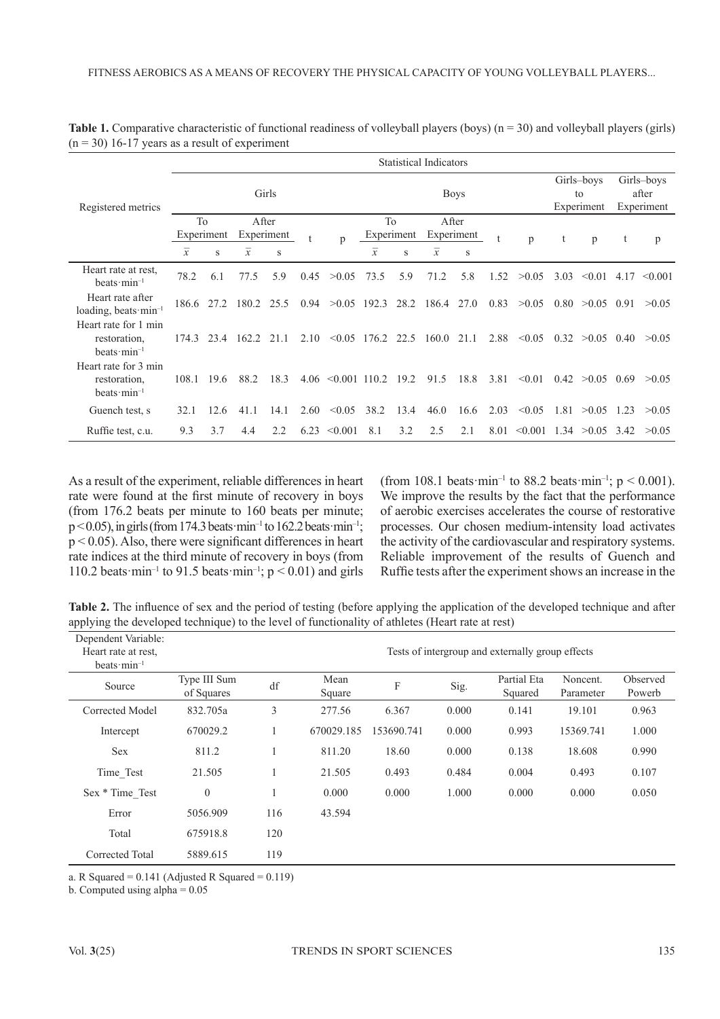|                                                                 |                | <b>Statistical Indicators</b> |                |       |      |                        |                |      |                              |                                |      |                                   |      |                    |      |         |
|-----------------------------------------------------------------|----------------|-------------------------------|----------------|-------|------|------------------------|----------------|------|------------------------------|--------------------------------|------|-----------------------------------|------|--------------------|------|---------|
| Registered metrics                                              | Girls          |                               |                |       |      |                        | <b>Boys</b>    |      |                              | Girls-boys<br>to<br>Experiment |      | Girls-boys<br>after<br>Experiment |      |                    |      |         |
|                                                                 | To             |                               |                | After |      |                        | T <sub>0</sub> |      | After                        |                                |      |                                   |      |                    |      |         |
|                                                                 | Experiment     |                               | Experiment     |       |      | p                      | Experiment     |      | Experiment                   |                                |      | p                                 |      | p                  |      | p       |
|                                                                 | $\overline{x}$ | S                             | $\overline{x}$ | S     |      |                        | $\overline{x}$ | S    | $\overline{x}$               | S                              |      |                                   |      |                    |      |         |
| Heart rate at rest.<br>beats $min^{-1}$                         | 78.2           | 6.1                           | 77.5           | 5.9   | 0.45 | >0.05                  | 73.5           | 5.9  | 71.2                         | 5.8                            | 1.52 | >0.05                             | 3.03 | < 0.01             | 4.17 | < 0.001 |
| Heart rate after<br>loading, beats min <sup>-1</sup>            | 186.6 27.2     |                               | 180.2          | 25.5  | 0.94 | >0.05                  | 192.3          | 28.2 | 186.4                        | 27.0                           | 0.83 | >0.05                             | 0.80 | >0.05              | 0.91 | >0.05   |
| Heart rate for 1 min<br>restoration.<br>beats $min^{-1}$        | 174.3          | 23.4                          | 162.2 21.1     |       | 2.10 |                        |                |      | $\leq 0.05$ 176.2 22.5 160.0 | 21.1                           | 2.88 | < 0.05                            |      | $0.32 > 0.05$ 0.40 |      | >0.05   |
| Heart rate for 3 min<br>restoration.<br>beats $\text{min}^{-1}$ | 108.1          | 19.6                          | 88.2           | 18.3  |      | $4.06 \le 0.001$ 110.2 |                | 19.2 | 91.5                         | 18.8                           | 3.81 | < 0.01                            | 0.42 | >0.05              | 0.69 | >0.05   |
| Guench test, s                                                  | 32.1           | 12.6                          | 41.1           | 14.1  | 2.60 | < 0.05                 | 38.2           | 13.4 | 46.0                         | 16.6                           | 2.03 | < 0.05                            | 1.81 | >0.05              | 1.23 | >0.05   |
| Ruffie test, c.u.                                               | 9.3            | 3.7                           | 4.4            | 2.2   | 6.23 | < 0.001                | 8.1            | 3.2  | 2.5                          | 2.1                            | 8.01 | < 0.001                           |      | $1.34 > 0.05$ 3.42 |      | >0.05   |

**Table 1.** Comparative characteristic of functional readiness of volleyball players (boys) (n = 30) and volleyball players (girls)  $(n = 30)$  16-17 years as a result of experiment

As a result of the experiment, reliable differences in heart rate were found at the first minute of recovery in boys (from 176.2 beats per minute to 160 beats per minute;  $p \le 0.05$ ), in girls (from 174.3 beats·min<sup>-1</sup> to 162.2 beats·min<sup>-1</sup>;  $p < 0.05$ ). Also, there were significant differences in heart rate indices at the third minute of recovery in boys (from 110.2 beats  $\text{min}^{-1}$  to 91.5 beats  $\text{min}^{-1}$ ;  $p < 0.01$ ) and girls

(from 108.1 beats  $\text{min}^{-1}$  to 88.2 beats  $\text{min}^{-1}$ ; p < 0.001). We improve the results by the fact that the performance of aerobic exercises accelerates the course of restorative processes. Our chosen medium-intensity load activates the activity of the cardiovascular and respiratory systems. Reliable improvement of the results of Guench and Ruffie tests after the experiment shows an increase in the

**Table 2.** The influence of sex and the period of testing (before applying the application of the developed technique and after applying the developed technique) to the level of functionality of athletes (Heart rate at rest)

| Dependent Variable:<br>Heart rate at rest.<br>beats $\text{min}^{-1}$ |                            |     |                |            |       | Tests of intergroup and externally group effects |                       |                    |
|-----------------------------------------------------------------------|----------------------------|-----|----------------|------------|-------|--------------------------------------------------|-----------------------|--------------------|
| Source                                                                | Type III Sum<br>of Squares | df  | Mean<br>Square | F          | Sig.  | Partial Eta<br>Squared                           | Noncent.<br>Parameter | Observed<br>Powerb |
| Corrected Model                                                       | 832.705a                   | 3   | 277.56         | 6.367      | 0.000 | 0.141                                            | 19.101                | 0.963              |
| Intercept                                                             | 670029.2                   | л.  | 670029.185     | 153690.741 | 0.000 | 0.993                                            | 15369.741             | 1.000              |
| <b>Sex</b>                                                            | 811.2                      |     | 811.20         | 18.60      | 0.000 | 0.138                                            | 18.608                | 0.990              |
| Time Test                                                             | 21.505                     |     | 21.505         | 0.493      | 0.484 | 0.004                                            | 0.493                 | 0.107              |
| Sex * Time Test                                                       | $\overline{0}$             | л.  | 0.000          | 0.000      | 1.000 | 0.000                                            | 0.000                 | 0.050              |
| Error                                                                 | 5056.909                   | 116 | 43.594         |            |       |                                                  |                       |                    |
| Total                                                                 | 675918.8                   | 120 |                |            |       |                                                  |                       |                    |
| Corrected Total                                                       | 5889.615                   | 119 |                |            |       |                                                  |                       |                    |

a. R Squared =  $0.141$  (Adjusted R Squared =  $0.119$ )

b. Computed using alpha  $= 0.05$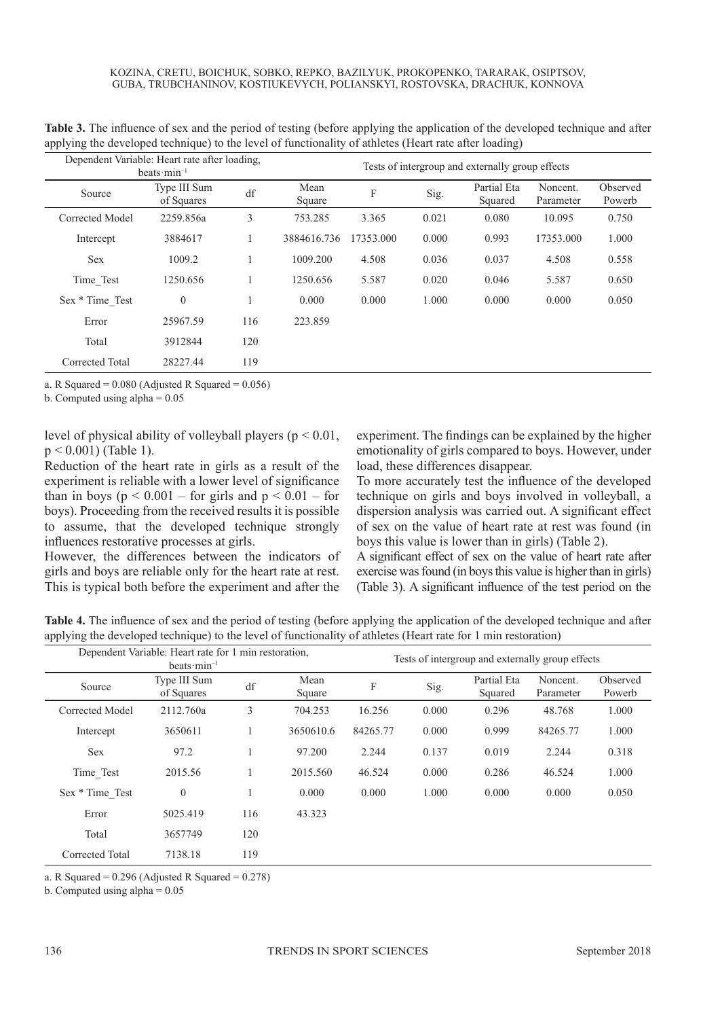| Dependent Variable: Heart rate after loading,<br>beats $\cdot$ min <sup>-1</sup> | Tests of intergroup and externally group effects |     |                |           |       |                        |                       |                    |  |
|----------------------------------------------------------------------------------|--------------------------------------------------|-----|----------------|-----------|-------|------------------------|-----------------------|--------------------|--|
| Source                                                                           | Type III Sum<br>of Squares                       | df  | Mean<br>Square | F         | Sig.  | Partial Eta<br>Squared | Noncent.<br>Parameter | Observed<br>Powerb |  |
| Corrected Model                                                                  | 2259.856a                                        | 3   | 753.285        | 3.365     | 0.021 | 0.080                  | 10.095                | 0.750              |  |
| Intercept                                                                        | 3884617                                          |     | 3884616.736    | 17353.000 | 0.000 | 0.993                  | 17353.000             | 1.000              |  |
| <b>Sex</b>                                                                       | 1009.2                                           |     | 1009.200       | 4.508     | 0.036 | 0.037                  | 4.508                 | 0.558              |  |
| Time Test                                                                        | 1250.656                                         |     | 1250.656       | 5.587     | 0.020 | 0.046                  | 5.587                 | 0.650              |  |
| Sex * Time Test                                                                  | $\theta$                                         |     | 0.000          | 0.000     | 1.000 | 0.000                  | 0.000                 | 0.050              |  |
| Error                                                                            | 25967.59                                         | 116 | 223.859        |           |       |                        |                       |                    |  |
| Total                                                                            | 3912844                                          | 120 |                |           |       |                        |                       |                    |  |
| Corrected Total                                                                  | 28227.44                                         | 119 |                |           |       |                        |                       |                    |  |

**Table 3.** The influence of sex and the period of testing (before applying the application of the developed technique and after applying the developed technique) to the level of functionality of athletes (Heart rate after loading)

a. R Squared =  $0.080$  (Adjusted R Squared =  $0.056$ )

b. Computed using alpha  $= 0.05$ 

level of physical ability of volleyball players ( $p < 0.01$ , p < 0.001) (Table 1).

Reduction of the heart rate in girls as a result of the experiment is reliable with a lower level of significance than in boys ( $p \le 0.001$  – for girls and  $p \le 0.01$  – for boys). Proceeding from the received results it is possible to assume, that the developed technique strongly influences restorative processes at girls.

However, the differences between the indicators of girls and boys are reliable only for the heart rate at rest. This is typical both before the experiment and after the experiment. The findings can be explained by the higher emotionality of girls compared to boys. However, under load, these differences disappear.

To more accurately test the influence of the developed technique on girls and boys involved in volleyball, a dispersion analysis was carried out. A significant effect of sex on the value of heart rate at rest was found (in boys this value is lower than in girls) (Table 2).

A significant effect of sex on the value of heart rate after exercise was found (in boys this value is higher than in girls) (Table 3). A significant influence of the test period on the

**Table 4.** The influence of sex and the period of testing (before applying the application of the developed technique and after applying the developed technique) to the level of functionality of athletes (Heart rate for 1 min restoration)

|                 | Dependent Variable: Heart rate for 1 min restoration,<br>beats $min^{-1}$ |                        |                | Tests of intergroup and externally group effects |       |                        |                       |                    |  |  |
|-----------------|---------------------------------------------------------------------------|------------------------|----------------|--------------------------------------------------|-------|------------------------|-----------------------|--------------------|--|--|
| Source          | Type III Sum<br>of Squares                                                | $\mathrm{d}\mathbf{f}$ | Mean<br>Square | F                                                | Sig.  | Partial Eta<br>Squared | Noncent.<br>Parameter | Observed<br>Powerb |  |  |
| Corrected Model | 2112.760a                                                                 | 3                      | 704.253        | 16.256                                           | 0.000 | 0.296                  | 48.768                | 1.000              |  |  |
| Intercept       | 3650611                                                                   |                        | 3650610.6      | 84265.77                                         | 0.000 | 0.999                  | 84265.77              | 1.000              |  |  |
| <b>Sex</b>      | 97.2                                                                      |                        | 97.200         | 2.244                                            | 0.137 | 0.019                  | 2.244                 | 0.318              |  |  |
| Time Test       | 2015.56                                                                   |                        | 2015.560       | 46.524                                           | 0.000 | 0.286                  | 46.524                | 1.000              |  |  |
| Sex * Time Test | $\theta$                                                                  |                        | 0.000          | 0.000                                            | 1.000 | 0.000                  | 0.000                 | 0.050              |  |  |
| Error           | 5025.419                                                                  | 116                    | 43.323         |                                                  |       |                        |                       |                    |  |  |
| Total           | 3657749                                                                   | 120                    |                |                                                  |       |                        |                       |                    |  |  |
| Corrected Total | 7138.18                                                                   | 119                    |                |                                                  |       |                        |                       |                    |  |  |

a. R Squared =  $0.296$  (Adjusted R Squared =  $0.278$ )

b. Computed using alpha  $= 0.05$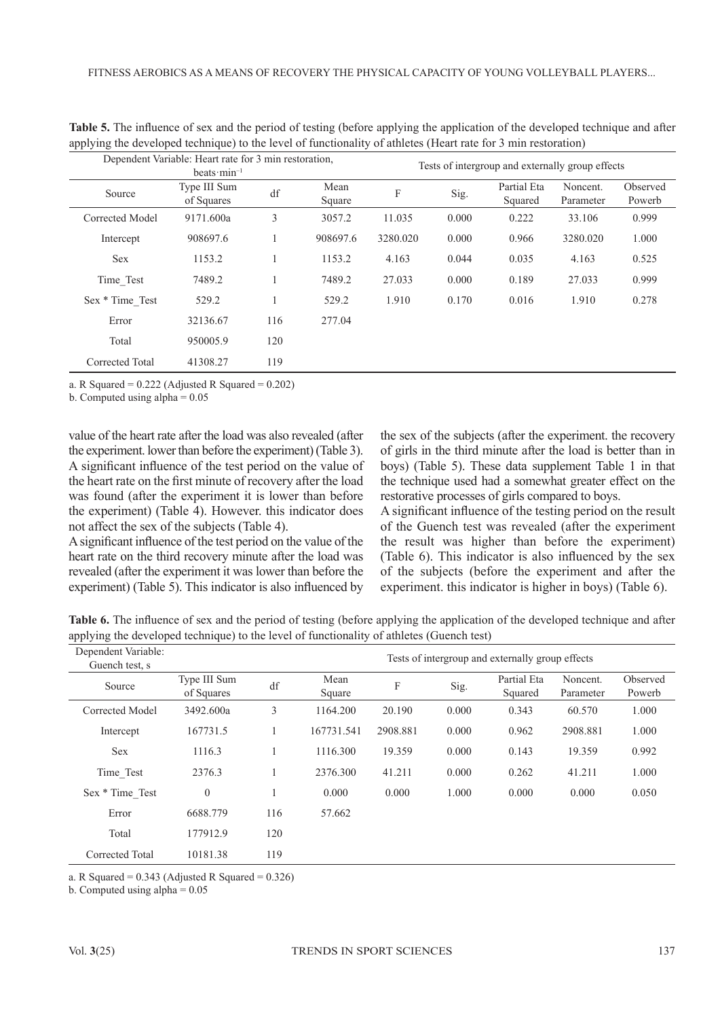|                 | Dependent Variable: Heart rate for 3 min restoration,<br>beats $min^{-1}$ |     |                | Tests of intergroup and externally group effects |       |                        |                       |                    |  |  |
|-----------------|---------------------------------------------------------------------------|-----|----------------|--------------------------------------------------|-------|------------------------|-----------------------|--------------------|--|--|
| Source          | Type III Sum<br>of Squares                                                | df  | Mean<br>Square | F                                                | Sig.  | Partial Eta<br>Squared | Noncent.<br>Parameter | Observed<br>Powerb |  |  |
| Corrected Model | 9171.600a                                                                 | 3   | 3057.2         | 11.035                                           | 0.000 | 0.222                  | 33.106                | 0.999              |  |  |
| Intercept       | 908697.6                                                                  |     | 908697.6       | 3280.020                                         | 0.000 | 0.966                  | 3280.020              | 1.000              |  |  |
| <b>Sex</b>      | 1153.2                                                                    |     | 1153.2         | 4.163                                            | 0.044 | 0.035                  | 4.163                 | 0.525              |  |  |
| Time Test       | 7489.2                                                                    |     | 7489.2         | 27.033                                           | 0.000 | 0.189                  | 27.033                | 0.999              |  |  |
| Sex * Time Test | 529.2                                                                     |     | 529.2          | 1.910                                            | 0.170 | 0.016                  | 1.910                 | 0.278              |  |  |
| Error           | 32136.67                                                                  | 116 | 277.04         |                                                  |       |                        |                       |                    |  |  |
| Total           | 950005.9                                                                  | 120 |                |                                                  |       |                        |                       |                    |  |  |
| Corrected Total | 41308.27                                                                  | 119 |                |                                                  |       |                        |                       |                    |  |  |

**Table 5.** The influence of sex and the period of testing (before applying the application of the developed technique and after applying the developed technique) to the level of functionality of athletes (Heart rate for 3 min restoration)

a. R Squared =  $0.222$  (Adjusted R Squared =  $0.202$ )

b. Computed using alpha  $= 0.05$ 

value of the heart rate after the load was also revealed (after the experiment. lower than before the experiment) (Table 3). A significant influence of the test period on the value of the heart rate on the first minute of recovery after the load was found (after the experiment it is lower than before the experiment) (Table 4). However. this indicator does not affect the sex of the subjects (Table 4).

A significant influence of the test period on the value of the heart rate on the third recovery minute after the load was revealed (after the experiment it was lower than before the experiment) (Table 5). This indicator is also influenced by the sex of the subjects (after the experiment. the recovery of girls in the third minute after the load is better than in boys) (Table 5). These data supplement Table 1 in that the technique used had a somewhat greater effect on the restorative processes of girls compared to boys.

A significant influence of the testing period on the result of the Guench test was revealed (after the experiment the result was higher than before the experiment) (Table 6). This indicator is also influenced by the sex of the subjects (before the experiment and after the experiment. this indicator is higher in boys) (Table 6).

**Table 6.** The influence of sex and the period of testing (before applying the application of the developed technique and after applying the developed technique) to the level of functionality of athletes (Guench test)

| Dependent Variable:<br>Guench test, s |                            |     |                |                           |       | Tests of intergroup and externally group effects |                       |                    |
|---------------------------------------|----------------------------|-----|----------------|---------------------------|-------|--------------------------------------------------|-----------------------|--------------------|
| Source                                | Type III Sum<br>of Squares | df  | Mean<br>Square | $\boldsymbol{\mathrm{F}}$ | Sig.  | Partial Eta<br>Squared                           | Noncent.<br>Parameter | Observed<br>Powerb |
| Corrected Model                       | 3492.600a                  | 3   | 1164.200       | 20.190                    | 0.000 | 0.343                                            | 60.570                | 1.000              |
| Intercept                             | 167731.5                   |     | 167731.541     | 2908.881                  | 0.000 | 0.962                                            | 2908.881              | 1.000              |
| <b>Sex</b>                            | 1116.3                     |     | 1116.300       | 19.359                    | 0.000 | 0.143                                            | 19.359                | 0.992              |
| Time Test                             | 2376.3                     |     | 2376.300       | 41.211                    | 0.000 | 0.262                                            | 41.211                | 1.000              |
| Sex * Time Test                       | $\theta$                   |     | 0.000          | 0.000                     | 1.000 | 0.000                                            | 0.000                 | 0.050              |
| Error                                 | 6688.779                   | 116 | 57.662         |                           |       |                                                  |                       |                    |
| Total                                 | 177912.9                   | 120 |                |                           |       |                                                  |                       |                    |
| Corrected Total                       | 10181.38                   | 119 |                |                           |       |                                                  |                       |                    |

a. R Squared =  $0.343$  (Adjusted R Squared =  $0.326$ )

b. Computed using alpha  $= 0.05$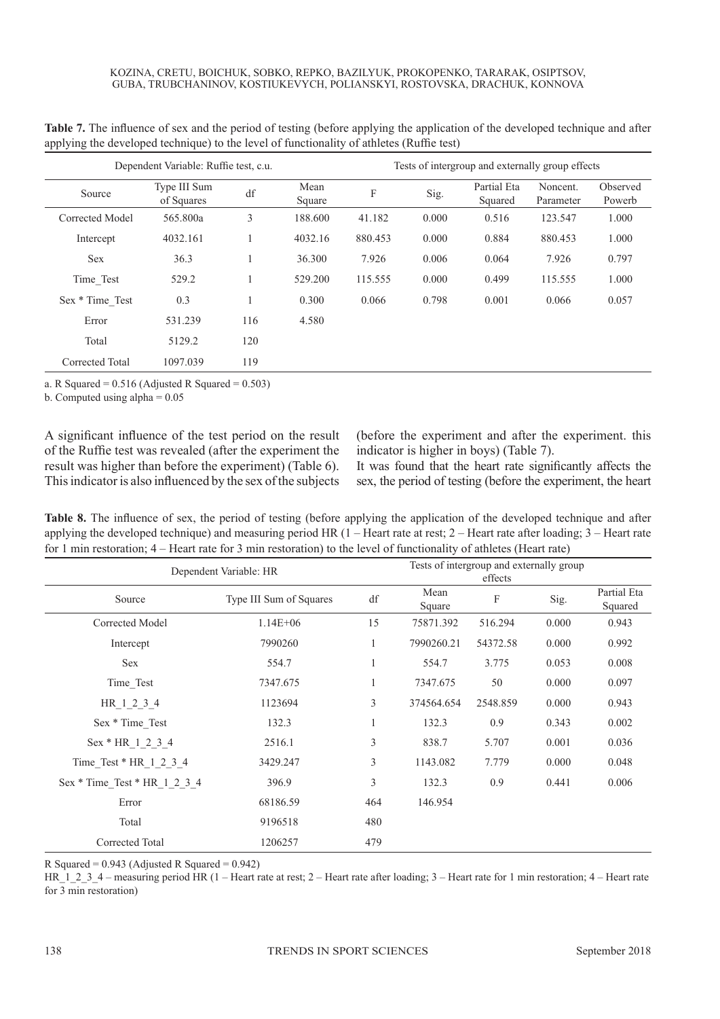|                 | Dependent Variable: Ruffie test, c.u. |     |                | Tests of intergroup and externally group effects |       |                        |                       |                    |  |  |  |
|-----------------|---------------------------------------|-----|----------------|--------------------------------------------------|-------|------------------------|-----------------------|--------------------|--|--|--|
| Source          | Type III Sum<br>of Squares            | df  | Mean<br>Square | F                                                | Sig.  | Partial Eta<br>Squared | Noncent.<br>Parameter | Observed<br>Powerb |  |  |  |
| Corrected Model | 565.800a                              | 3   | 188.600        | 41.182                                           | 0.000 | 0.516                  | 123.547               | 1.000              |  |  |  |
| Intercept       | 4032.161                              |     | 4032.16        | 880.453                                          | 0.000 | 0.884                  | 880.453               | 1.000              |  |  |  |
| <b>Sex</b>      | 36.3                                  |     | 36.300         | 7.926                                            | 0.006 | 0.064                  | 7.926                 | 0.797              |  |  |  |
| Time Test       | 529.2                                 |     | 529.200        | 115.555                                          | 0.000 | 0.499                  | 115.555               | 1.000              |  |  |  |
| Sex * Time Test | 0.3                                   |     | 0.300          | 0.066                                            | 0.798 | 0.001                  | 0.066                 | 0.057              |  |  |  |
| Error           | 531.239                               | 116 | 4.580          |                                                  |       |                        |                       |                    |  |  |  |
| Total           | 5129.2                                | 120 |                |                                                  |       |                        |                       |                    |  |  |  |
| Corrected Total | 1097.039                              | 119 |                |                                                  |       |                        |                       |                    |  |  |  |

**Table 7.** The influence of sex and the period of testing (before applying the application of the developed technique and after applying the developed technique) to the level of functionality of athletes (Ruffie test)

a. R Squared =  $0.516$  (Adjusted R Squared =  $0.503$ )

b. Computed using alpha  $= 0.05$ 

A significant influence of the test period on the result of the Ruffie test was revealed (after the experiment the result was higher than before the experiment) (Table 6). This indicator is also influenced by the sex of the subjects (before the experiment and after the experiment. this indicator is higher in boys) (Table 7).

It was found that the heart rate significantly affects the sex, the period of testing (before the experiment, the heart

**Table 8.** The influence of sex, the period of testing (before applying the application of the developed technique and after applying the developed technique) and measuring period HR  $(1 -$  Heart rate at rest;  $2 -$  Heart rate after loading;  $3 -$  Heart rate for 1 min restoration; 4 – Heart rate for 3 min restoration) to the level of functionality of athletes (Heart rate)

|                                | Dependent Variable: HR  | Tests of intergroup and externally group<br>effects |                |          |       |                        |  |  |  |
|--------------------------------|-------------------------|-----------------------------------------------------|----------------|----------|-------|------------------------|--|--|--|
| Source                         | Type III Sum of Squares | df                                                  | Mean<br>Square | F        | Sig.  | Partial Eta<br>Squared |  |  |  |
| Corrected Model                | $1.14E + 06$            | 15                                                  | 75871.392      | 516.294  | 0.000 | 0.943                  |  |  |  |
| Intercept                      | 7990260                 | $\mathbf{1}$                                        | 7990260.21     | 54372.58 | 0.000 | 0.992                  |  |  |  |
| <b>Sex</b>                     | 554.7                   | $\mathbf{1}$                                        | 554.7          | 3.775    | 0.053 | 0.008                  |  |  |  |
| Time_Test                      | 7347.675                | 1                                                   | 7347.675       | 50       | 0.000 | 0.097                  |  |  |  |
| HR 1 2 3 4                     | 1123694                 | 3                                                   | 374564.654     | 2548.859 | 0.000 | 0.943                  |  |  |  |
| Sex * Time Test                | 132.3                   | 1                                                   | 132.3          | 0.9      | 0.343 | 0.002                  |  |  |  |
| Sex * HR 1 2 3 4               | 2516.1                  | 3                                                   | 838.7          | 5.707    | 0.001 | 0.036                  |  |  |  |
| Time Test * $HR_1_2_3_4$       | 3429.247                | 3                                                   | 1143.082       | 7.779    | 0.000 | 0.048                  |  |  |  |
| $Sex * Time Test * HR 1 2 3 4$ | 396.9                   | 3                                                   | 132.3          | 0.9      | 0.441 | 0.006                  |  |  |  |
| Error                          | 68186.59                | 464                                                 | 146.954        |          |       |                        |  |  |  |
| Total                          | 9196518                 | 480                                                 |                |          |       |                        |  |  |  |
| Corrected Total                | 1206257                 | 479                                                 |                |          |       |                        |  |  |  |

R Squared =  $0.943$  (Adjusted R Squared =  $0.942$ )

HR\_1\_2\_3\_4 – measuring period HR (1 – Heart rate at rest; 2 – Heart rate after loading; 3 – Heart rate for 1 min restoration; 4 – Heart rate for 3 min restoration)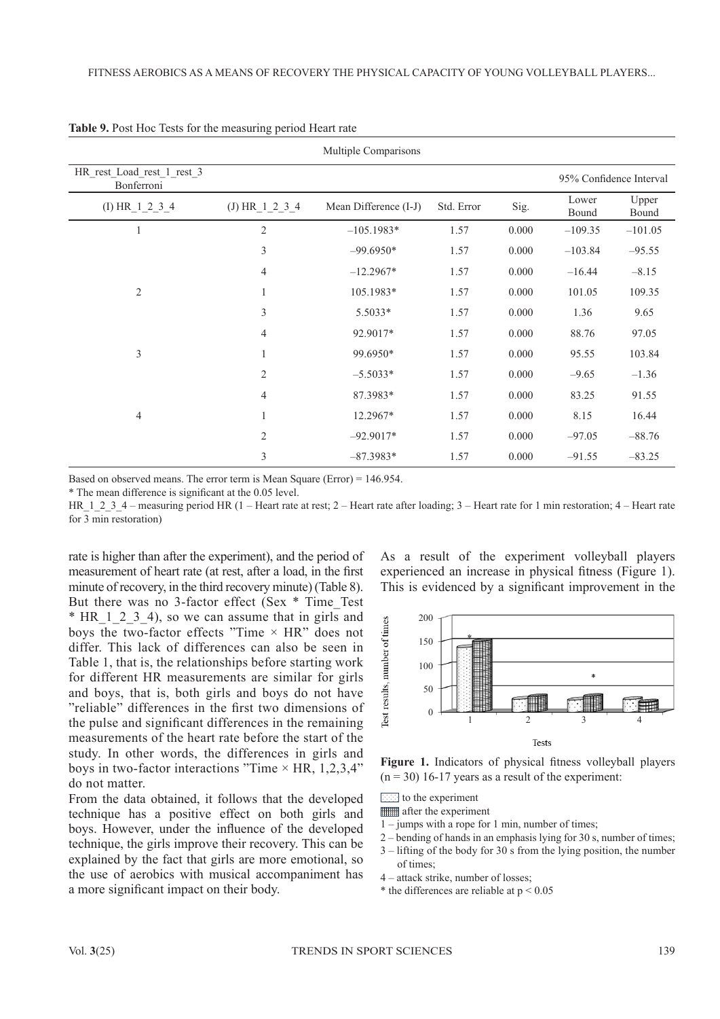| Multiple Comparisons                     |                |                       |            |       |                |                         |  |  |  |
|------------------------------------------|----------------|-----------------------|------------|-------|----------------|-------------------------|--|--|--|
| HR rest_Load_rest_1_rest_3<br>Bonferroni |                |                       |            |       |                | 95% Confidence Interval |  |  |  |
| (I) HR 1 2 3 4                           | (J) HR_1_2_3_4 | Mean Difference (I-J) | Std. Error | Sig.  | Lower<br>Bound | Upper<br>Bound          |  |  |  |
| 1                                        | $\overline{2}$ | $-105.1983*$          | 1.57       | 0.000 | $-109.35$      | $-101.05$               |  |  |  |
|                                          | $\mathfrak{Z}$ | $-99.6950*$           | 1.57       | 0.000 | $-103.84$      | $-95.55$                |  |  |  |
|                                          | 4              | $-12.2967*$           | 1.57       | 0.000 | $-16.44$       | $-8.15$                 |  |  |  |
| $\overline{2}$                           | 1              | 105.1983*             | 1.57       | 0.000 | 101.05         | 109.35                  |  |  |  |
|                                          | $\mathfrak{Z}$ | 5.5033*               | 1.57       | 0.000 | 1.36           | 9.65                    |  |  |  |
|                                          | $\overline{4}$ | 92.9017*              | 1.57       | 0.000 | 88.76          | 97.05                   |  |  |  |
| 3                                        | $\mathbf{1}$   | 99.6950*              | 1.57       | 0.000 | 95.55          | 103.84                  |  |  |  |
|                                          | $\overline{2}$ | $-5.5033*$            | 1.57       | 0.000 | $-9.65$        | $-1.36$                 |  |  |  |
|                                          | $\overline{4}$ | 87.3983*              | 1.57       | 0.000 | 83.25          | 91.55                   |  |  |  |
| $\overline{4}$                           | 1              | 12.2967*              | 1.57       | 0.000 | 8.15           | 16.44                   |  |  |  |
|                                          | $\mathfrak{2}$ | $-92.9017*$           | 1.57       | 0.000 | $-97.05$       | $-88.76$                |  |  |  |
|                                          | 3              | $-87.3983*$           | 1.57       | 0.000 | $-91.55$       | $-83.25$                |  |  |  |

**Table 9.** Post Hoc Tests for the measuring period Heart rate

Based on observed means. The error term is Mean Square (Error) = 146.954.

\* The mean difference is significant at the 0.05 level.

HR 1 2 3 4 – measuring period HR (1 – Heart rate at rest; 2 – Heart rate after loading; 3 – Heart rate for 1 min restoration; 4 – Heart rate for 3 min restoration)

rate is higher than after the experiment), and the period of measurement of heart rate (at rest, after a load, in the first minute of recovery, in the third recovery minute) (Table 8). But there was no 3-factor effect (Sex \* Time\_Test \* HR 1 2 3 4), so we can assume that in girls and boys the two-factor effects "Time  $\times$  HR" does not differ. This lack of differences can also be seen in Table 1, that is, the relationships before starting work for different HR measurements are similar for girls and boys, that is, both girls and boys do not have "reliable" differences in the first two dimensions of the pulse and significant differences in the remaining measurements of the heart rate before the start of the study. In other words, the differences in girls and boys in two-factor interactions "Time  $\times$  HR, 1,2,3,4" do not matter.

From the data obtained, it follows that the developed technique has a positive effect on both girls and boys. However, under the influence of the developed technique, the girls improve their recovery. This can be explained by the fact that girls are more emotional, so the use of aerobics with musical accompaniment has a more significant impact on their body.

As a result of the experiment volleyball players experienced an increase in physical fitness (Figure 1). This is evidenced by a significant improvement in the



**Figure 1.** Indicators of physical fitness volleyball players  $(n = 30)$  16-17 years as a result of the experiment:

 $\boxed{\cdots}$  to the experiment

- **ETTER** after the experiment
- 1 jumps with a rope for 1 min, number of times;
- 2 bending of hands in an emphasis lying for 30 s, number of times;
- 3 lifting of the body for 30 s from the lying position, the number of times;
- 4 attack strike, number of losses;
- \* the differences are reliable at  $p < 0.05$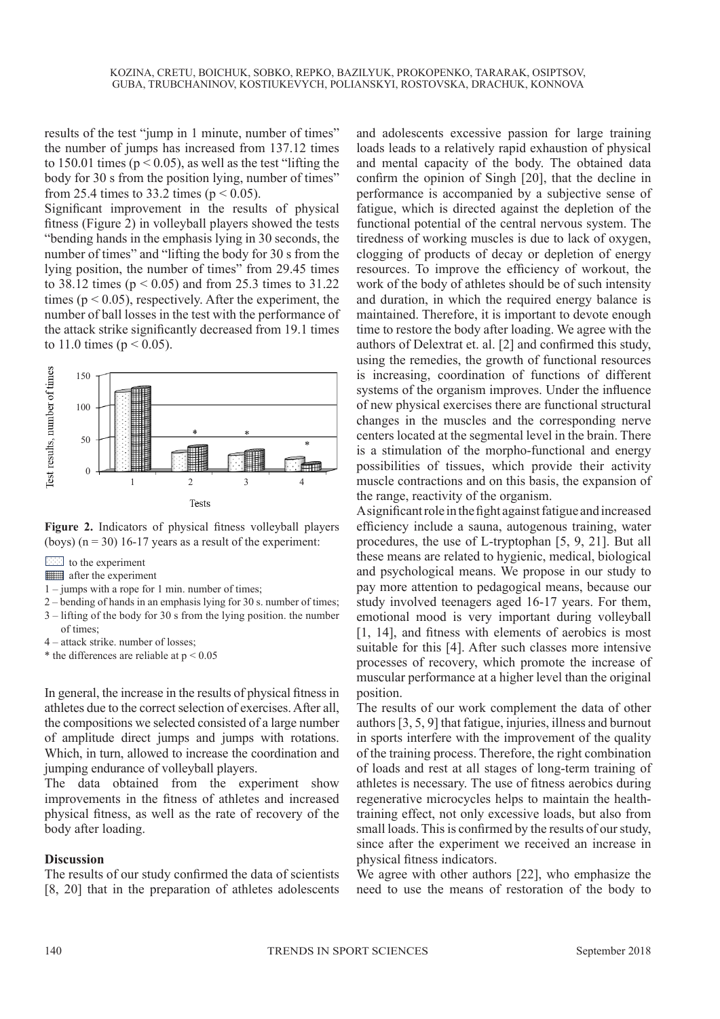results of the test "jump in 1 minute, number of times" the number of jumps has increased from 137.12 times to 150.01 times ( $p < 0.05$ ), as well as the test "lifting the body for 30 s from the position lying, number of times" from 25.4 times to 33.2 times ( $p < 0.05$ ).

Significant improvement in the results of physical fitness (Figure 2) in volleyball players showed the tests "bending hands in the emphasis lying in 30 seconds, the number of times" and "lifting the body for 30 s from the lying position, the number of times" from 29.45 times to 38.12 times ( $p < 0.05$ ) and from 25.3 times to 31.22 times ( $p < 0.05$ ), respectively. After the experiment, the number of ball losses in the test with the performance of the attack strike significantly decreased from 19.1 times to 11.0 times ( $p < 0.05$ ).



**Figure 2.** Indicators of physical fitness volleyball players (boys)  $(n = 30)$  16-17 years as a result of the experiment:

to the experiment

**Filled** after the experiment

- 1 jumps with a rope for 1 min. number of times;
- 2 bending of hands in an emphasis lying for 30 s. number of times;
- 3 lifting of the body for 30 s from the lying position. the number of times;

4 – attack strike. number of losses;

\* the differences are reliable at  $p < 0.05$ 

In general, the increase in the results of physical fitness in athletes due to the correct selection of exercises. After all, the compositions we selected consisted of a large number of amplitude direct jumps and jumps with rotations. Which, in turn, allowed to increase the coordination and jumping endurance of volleyball players.

The data obtained from the experiment show improvements in the fitness of athletes and increased physical fitness, as well as the rate of recovery of the body after loading.

#### **Discussion**

The results of our study confirmed the data of scientists [8, 20] that in the preparation of athletes adolescents

and adolescents excessive passion for large training loads leads to a relatively rapid exhaustion of physical and mental capacity of the body. The obtained data confirm the opinion of Singh [20], that the decline in performance is accompanied by a subjective sense of fatigue, which is directed against the depletion of the functional potential of the central nervous system. The tiredness of working muscles is due to lack of oxygen, clogging of products of decay or depletion of energy resources. To improve the efficiency of workout, the work of the body of athletes should be of such intensity and duration, in which the required energy balance is maintained. Therefore, it is important to devote enough time to restore the body after loading. We agree with the authors of Delextrat et. al. [2] and confirmed this study, using the remedies, the growth of functional resources is increasing, coordination of functions of different systems of the organism improves. Under the influence of new physical exercises there are functional structural changes in the muscles and the corresponding nerve centers located at the segmental level in the brain. There is a stimulation of the morpho-functional and energy possibilities of tissues, which provide their activity muscle contractions and on this basis, the expansion of the range, reactivity of the organism.

A significant role in the fight against fatigue and increased efficiency include a sauna, autogenous training, water procedures, the use of L-tryptophan [5, 9, 21]. But all these means are related to hygienic, medical, biological and psychological means. We propose in our study to pay more attention to pedagogical means, because our study involved teenagers aged 16-17 years. For them, emotional mood is very important during volleyball [1, 14], and fitness with elements of aerobics is most suitable for this [4]. After such classes more intensive processes of recovery, which promote the increase of muscular performance at a higher level than the original position.

The results of our work complement the data of other authors [3, 5, 9] that fatigue, injuries, illness and burnout in sports interfere with the improvement of the quality of the training process. Therefore, the right combination of loads and rest at all stages of long-term training of athletes is necessary. The use of fitness aerobics during regenerative microcycles helps to maintain the healthtraining effect, not only excessive loads, but also from small loads. This is confirmed by the results of our study, since after the experiment we received an increase in physical fitness indicators.

We agree with other authors [22], who emphasize the need to use the means of restoration of the body to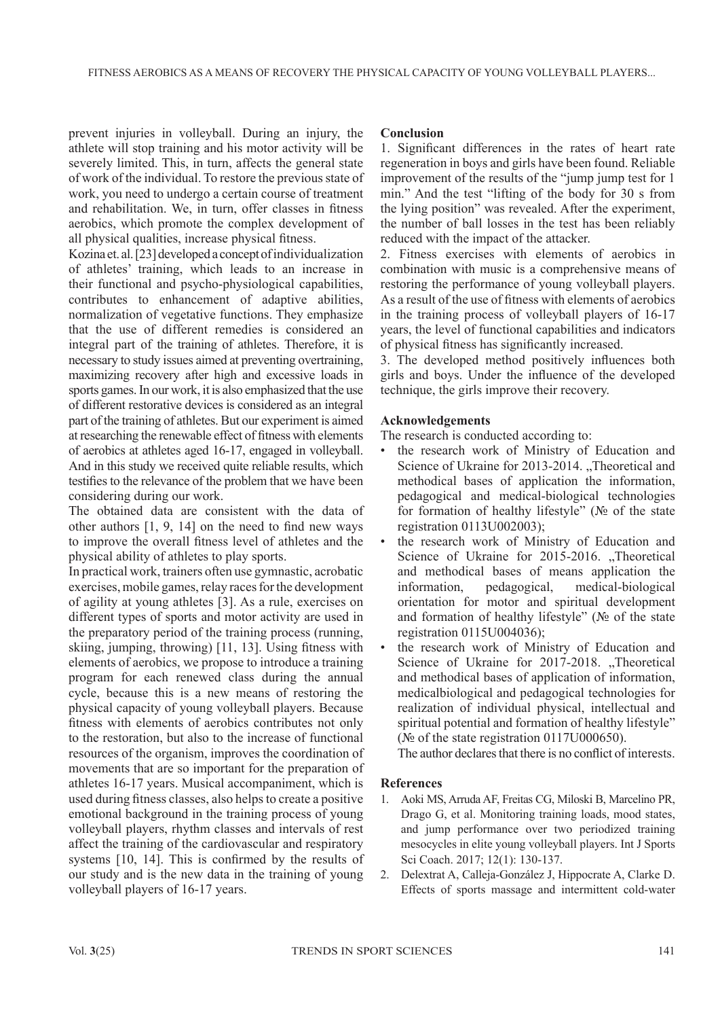prevent injuries in volleyball. During an injury, the athlete will stop training and his motor activity will be severely limited. This, in turn, affects the general state of work of the individual. To restore the previous state of work, you need to undergo a certain course of treatment and rehabilitation. We, in turn, offer classes in fitness aerobics, which promote the complex development of all physical qualities, increase physical fitness.

Kozina et. al. [23] developed a concept of individualization of athletes' training, which leads to an increase in their functional and psycho-physiological capabilities, contributes to enhancement of adaptive abilities, normalization of vegetative functions. They emphasize that the use of different remedies is considered an integral part of the training of athletes. Therefore, it is necessary to study issues aimed at preventing overtraining, maximizing recovery after high and excessive loads in sports games. In our work, it is also emphasized that the use of different restorative devices is considered as an integral part of the training of athletes. But our experiment is aimed at researching the renewable effect of fitness with elements of aerobics at athletes aged 16-17, engaged in volleyball. And in this study we received quite reliable results, which testifies to the relevance of the problem that we have been considering during our work.

The obtained data are consistent with the data of other authors [1, 9, 14] on the need to find new ways to improve the overall fitness level of athletes and the physical ability of athletes to play sports.

In practical work, trainers often use gymnastic, acrobatic exercises, mobile games, relay races for the development of agility at young athletes [3]. As a rule, exercises on different types of sports and motor activity are used in the preparatory period of the training process (running, skiing, jumping, throwing) [11, 13]. Using fitness with elements of aerobics, we propose to introduce a training program for each renewed class during the annual cycle, because this is a new means of restoring the physical capacity of young volleyball players. Because fitness with elements of aerobics contributes not only to the restoration, but also to the increase of functional resources of the organism, improves the coordination of movements that are so important for the preparation of athletes 16-17 years. Musical accompaniment, which is used during fitness classes, also helps to create a positive emotional background in the training process of young volleyball players, rhythm classes and intervals of rest affect the training of the cardiovascular and respiratory systems [10, 14]. This is confirmed by the results of our study and is the new data in the training of young volleyball players of 16-17 years.

## **Conclusion**

1. Significant differences in the rates of heart rate regeneration in boys and girls have been found. Reliable improvement of the results of the "jump jump test for 1 min." And the test "lifting of the body for 30 s from the lying position" was revealed. After the experiment, the number of ball losses in the test has been reliably reduced with the impact of the attacker.

2. Fitness exercises with elements of aerobics in combination with music is a comprehensive means of restoring the performance of young volleyball players. As a result of the use of fitness with elements of aerobics in the training process of volleyball players of 16-17 years, the level of functional capabilities and indicators of physical fitness has significantly increased.

3. The developed method positively influences both girls and boys. Under the influence of the developed technique, the girls improve their recovery.

#### **Acknowledgements**

The research is conducted according to:

- the research work of Ministry of Education and Science of Ukraine for 2013-2014. "Theoretical and methodical bases of application the information, pedagogical and medical-biological technologies for formation of healthy lifestyle" ( $N_2$  of the state registration 0113U002003);
- the research work of Ministry of Education and Science of Ukraine for 2015-2016. Theoretical and methodical bases of means application the information, pedagogical, medical-biological orientation for motor and spiritual development and formation of healthy lifestyle" (№ of the state registration 0115U004036);
- the research work of Ministry of Education and Science of Ukraine for 2017-2018. "Theoretical and methodical bases of application of information, medicalbiological and pedagogical technologies for realization of individual physical, intellectual and spiritual potential and formation of healthy lifestyle" (№ of the state registration 0117U000650).

The author declares that there is no conflict of interests.

#### **References**

- 1. Aoki MS, Arruda AF, Freitas CG, Miloski B, Marcelino PR, Drago G, et al. Monitoring training loads, mood states, and jump performance over two periodized training mesocycles in elite young volleyball players. Int J Sports Sci Coach. 2017; 12(1): 130-137.
- 2. Delextrat A, Calleja-González J, Hippocrate A, Clarke D. Effects of sports massage and intermittent cold-water